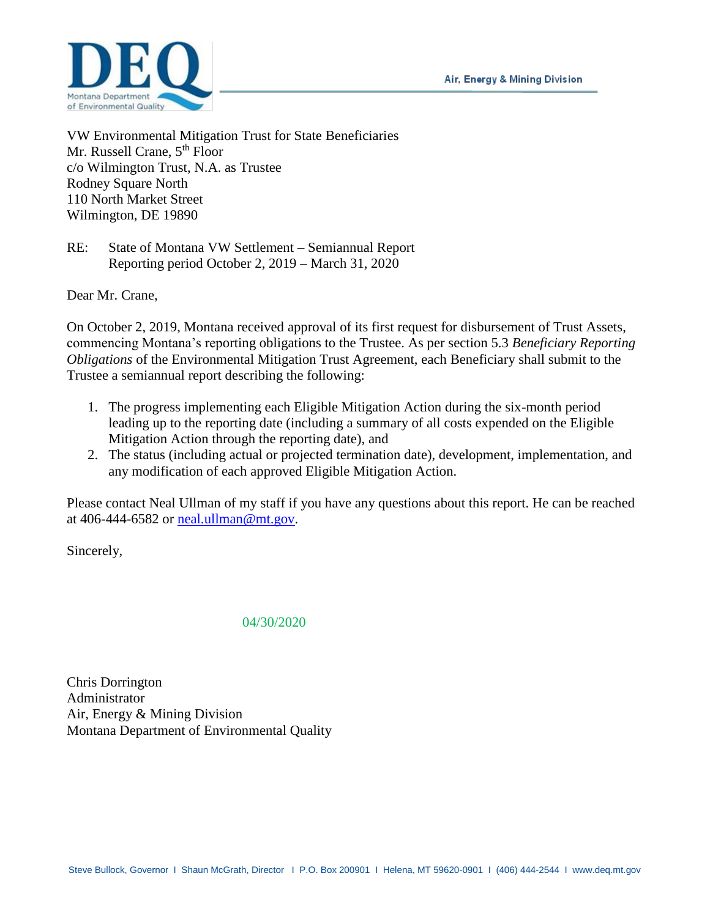Air, Energy & Mining Division



VW Environmental Mitigation Trust for State Beneficiaries Mr. Russell Crane, 5<sup>th</sup> Floor c/o Wilmington Trust, N.A. as Trustee Rodney Square North 110 North Market Street Wilmington, DE 19890

RE: State of Montana VW Settlement – Semiannual Report Reporting period October 2, 2019 – March 31, 2020

Dear Mr. Crane,

On October 2, 2019, Montana received approval of its first request for disbursement of Trust Assets, commencing Montana's reporting obligations to the Trustee. As per section 5.3 *Beneficiary Reporting Obligations* of the Environmental Mitigation Trust Agreement, each Beneficiary shall submit to the Trustee a semiannual report describing the following:

- 1. The progress implementing each Eligible Mitigation Action during the six-month period leading up to the reporting date (including a summary of all costs expended on the Eligible Mitigation Action through the reporting date), and
- 2. The status (including actual or projected termination date), development, implementation, and any modification of each approved Eligible Mitigation Action.

Please contact Neal Ullman of my staff if you have any questions about this report. He can be reached at 406-444-6582 or [neal.ullman@mt.gov.](mailto:neal.ullman@mt.gov)

Sincerely,

## 04/30/2020

Chris Dorrington Administrator Air, Energy & Mining Division Montana Department of Environmental Quality